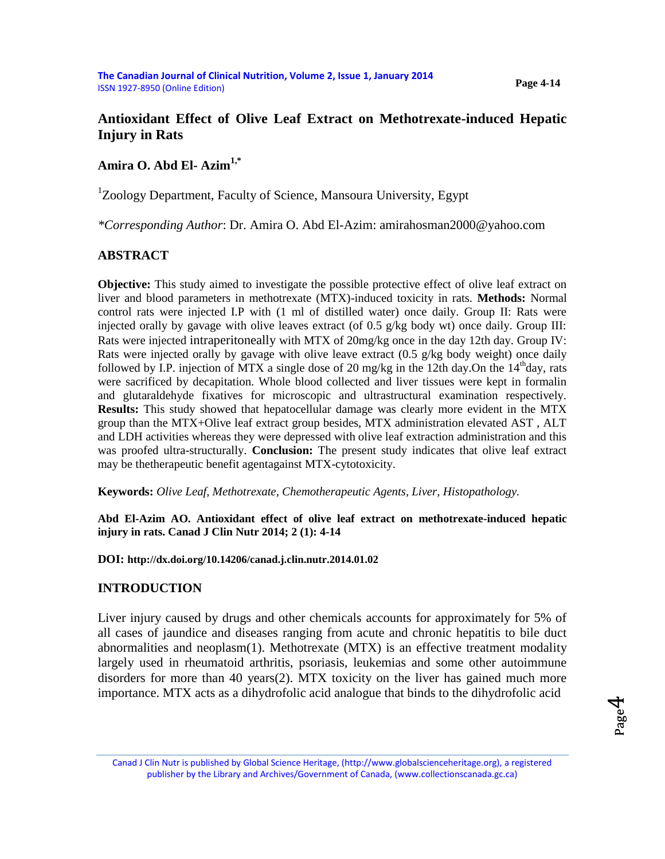# **Antioxidant Effect of Olive Leaf Extract on Methotrexate-induced Hepatic Injury in Rats**

**Amira O. Abd El- Azim1,\***

<sup>1</sup>Zoology Department, Faculty of Science, Mansoura University, Egypt

*\*Corresponding Author*: Dr. Amira O. Abd El-Azim: amirahosman2000@yahoo.com

# **ABSTRACT**

**Objective:** This study aimed to investigate the possible protective effect of olive leaf extract on liver and blood parameters in methotrexate (MTX)-induced toxicity in rats. **Methods:** Normal control rats were injected I.P with (1 ml of distilled water) once daily. Group II: Rats were injected orally by gavage with olive leaves extract (of 0.5 g/kg body wt) once daily. Group III: Rats were injected intraperitoneally with MTX of 20mg/kg once in the day 12th day. Group IV: Rats were injected orally by gavage with olive leave extract  $(0.5 \text{ g/kg}$  body weight) once daily followed by I.P. injection of MTX a single dose of 20 mg/kg in the 12th day.On the  $14<sup>th</sup>$ day, rats were sacrificed by decapitation. Whole blood collected and liver tissues were kept in formalin and glutaraldehyde fixatives for microscopic and ultrastructural examination respectively. **Results:** This study showed that hepatocellular damage was clearly more evident in the MTX group than the MTX+Olive leaf extract group besides, MTX administration elevated AST , ALT and LDH activities whereas they were depressed with olive leaf extraction administration and this was proofed ultra-structurally. **Conclusion:** The present study indicates that olive leaf extract may be thetherapeutic benefit agentagainst MTX-cytotoxicity.

**Keywords:** *Olive Leaf, Methotrexate, Chemotherapeutic Agents, Liver, Histopathology.*

**Abd El-Azim AO. Antioxidant effect of olive leaf extract on methotrexate-induced hepatic injury in rats. Canad J Clin Nutr 2014; 2 (1): 4-14**

**DOI: <http://dx.doi.org/10.14206/canad.j.clin.nutr.2014.01.02>**

# **INTRODUCTION**

Liver injury caused by drugs and other chemicals accounts for approximately for 5% of all cases of jaundice and diseases ranging from acute and chronic hepatitis to bile duct abnormalities and neoplasm(1). Methotrexate (MTX) is an effective treatment modality largely used in rheumatoid arthritis, psoriasis, leukemias and some other autoimmune disorders for more than 40 years(2). MTX toxicity on the liver has gained much more importance. MTX acts as a dihydrofolic acid analogue that binds to the dihydrofolic acid

Page 4

Canad J Clin Nutr is published by Global Science Heritage, (http://www.globalscienceheritage.org), a registered publisher by the Library and Archives/Government of Canada, (www.collectionscanada.gc.ca)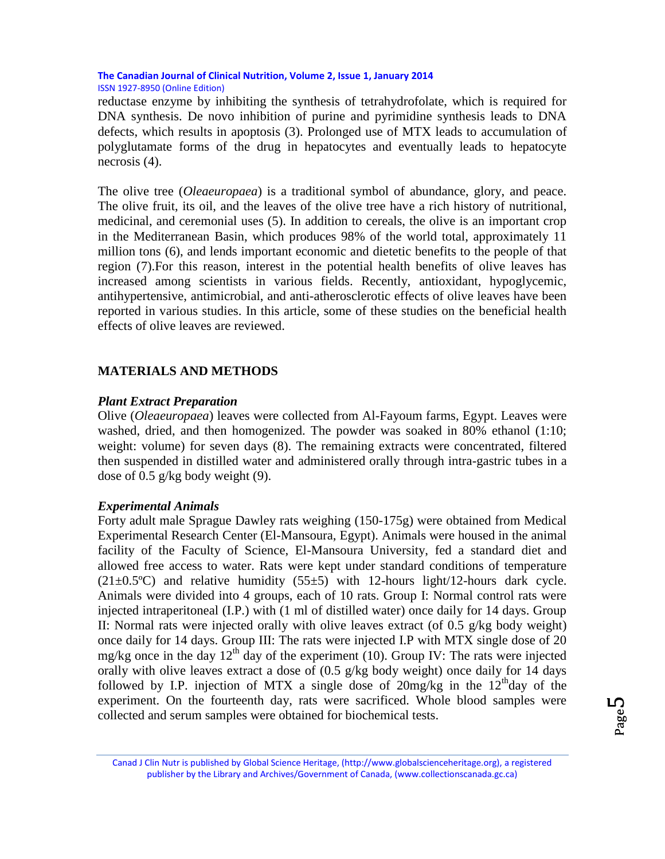reductase enzyme by inhibiting the synthesis of tetrahydrofolate, which is required for DNA synthesis. De novo inhibition of purine and pyrimidine synthesis leads to DNA defects, which results in apoptosis (3). Prolonged use of MTX leads to accumulation of polyglutamate forms of the drug in hepatocytes and eventually leads to hepatocyte necrosis (4).

The olive tree (*Oleaeuropaea*) is a traditional symbol of abundance, glory, and peace. The olive fruit, its oil, and the leaves of the olive tree have a rich history of nutritional, medicinal, and ceremonial uses (5). In addition to cereals, the olive is an important crop in the Mediterranean Basin, which produces 98% of the world total, approximately 11 million tons (6), and lends important economic and dietetic benefits to the people of that region (7).For this reason, interest in the potential health benefits of olive leaves has increased among scientists in various fields. Recently, antioxidant, hypoglycemic, antihypertensive, antimicrobial, and anti-atherosclerotic effects of olive leaves have been reported in various studies. In this article, some of these studies on the beneficial health effects of olive leaves are reviewed.

### **MATERIALS AND METHODS**

#### *Plant Extract Preparation*

Olive (*Oleaeuropaea*) leaves were collected from Al-Fayoum farms, Egypt. Leaves were washed, dried, and then homogenized. The powder was soaked in 80% ethanol (1:10; weight: volume) for seven days (8). The remaining extracts were concentrated, filtered then suspended in distilled water and administered orally through intra-gastric tubes in a dose of 0.5 g/kg body weight (9).

#### *Experimental Animals*

Forty adult male Sprague Dawley rats weighing (150-175g) were obtained from Medical Experimental Research Center (El-Mansoura, Egypt). Animals were housed in the animal facility of the Faculty of Science, El-Mansoura University, fed a standard diet and allowed free access to water. Rats were kept under standard conditions of temperature  $(21\pm0.5^{\circ}\text{C})$  and relative humidity  $(55\pm5)$  with 12-hours light/12-hours dark cycle. Animals were divided into 4 groups, each of 10 rats. Group I: Normal control rats were injected intraperitoneal (I.P.) with (1 ml of distilled water) once daily for 14 days. Group II: Normal rats were injected orally with olive leaves extract (of 0.5 g/kg body weight) once daily for 14 days. Group III: The rats were injected I.P with MTX single dose of 20 mg/kg once in the day  $12<sup>th</sup>$  day of the experiment (10). Group IV: The rats were injected orally with olive leaves extract a dose of (0.5 g/kg body weight) once daily for 14 days followed by I.P. injection of MTX a single dose of  $20$ mg/kg in the  $12<sup>th</sup>$ day of the experiment. On the fourteenth day, rats were sacrificed. Whole blood samples were collected and serum samples were obtained for biochemical tests.

Page L∩

Canad J Clin Nutr is published by Global Science Heritage, (http://www.globalscienceheritage.org), a registered publisher by the Library and Archives/Government of Canada, (www.collectionscanada.gc.ca)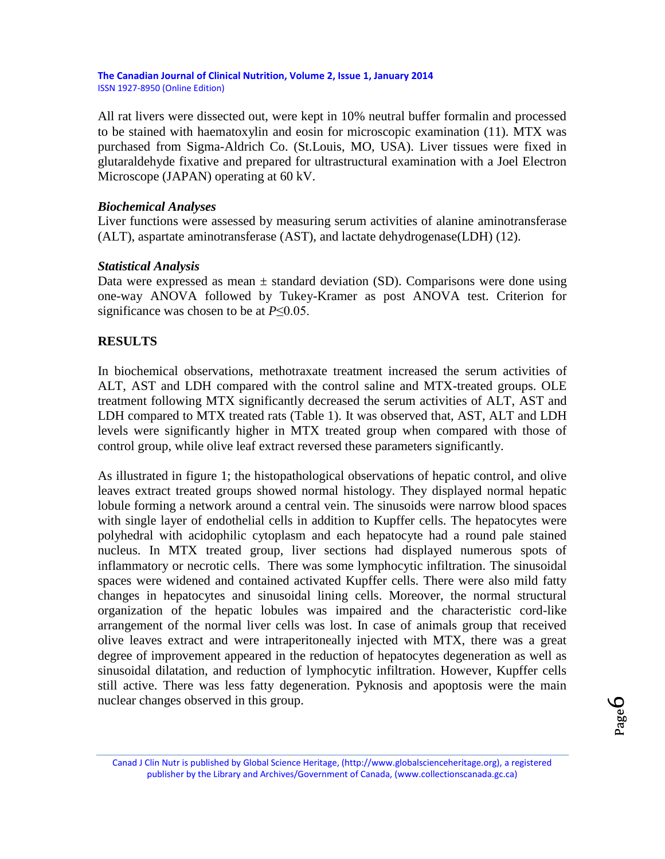All rat livers were dissected out, were kept in 10% neutral buffer formalin and processed to be stained with haematoxylin and eosin for microscopic examination (11). MTX was purchased from Sigma-Aldrich Co. (St.Louis, MO, USA). Liver tissues were fixed in glutaraldehyde fixative and prepared for ultrastructural examination with a Joel Electron Microscope (JAPAN) operating at 60 kV.

### *Biochemical Analyses*

Liver functions were assessed by measuring serum activities of alanine aminotransferase (ALT), aspartate aminotransferase (AST), and lactate dehydrogenase(LDH) (12).

### *Statistical Analysis*

Data were expressed as mean  $\pm$  standard deviation (SD). Comparisons were done using one-way ANOVA followed by Tukey-Kramer as post ANOVA test. Criterion for significance was chosen to be at *P*≤0.05.

### **RESULTS**

In biochemical observations, methotraxate treatment increased the serum activities of ALT, AST and LDH compared with the control saline and MTX-treated groups. OLE treatment following MTX significantly decreased the serum activities of ALT, AST and LDH compared to MTX treated rats (Table 1). It was observed that, AST, ALT and LDH levels were significantly higher in MTX treated group when compared with those of control group, while olive leaf extract reversed these parameters significantly.

As illustrated in figure 1; the histopathological observations of hepatic control, and olive leaves extract treated groups showed normal histology. They displayed normal hepatic lobule forming a network around a central vein. The sinusoids were narrow blood spaces with single layer of endothelial cells in addition to Kupffer cells. The hepatocytes were polyhedral with acidophilic cytoplasm and each hepatocyte had a round pale stained nucleus. In MTX treated group, liver sections had displayed numerous spots of inflammatory or necrotic cells. There was some lymphocytic infiltration. The sinusoidal spaces were widened and contained activated Kupffer cells. There were also mild fatty changes in hepatocytes and sinusoidal lining cells. Moreover, the normal structural organization of the hepatic lobules was impaired and the characteristic cord-like arrangement of the normal liver cells was lost. In case of animals group that received olive leaves extract and were intraperitoneally injected with MTX, there was a great degree of improvement appeared in the reduction of hepatocytes degeneration as well as sinusoidal dilatation, and reduction of lymphocytic infiltration. However, Kupffer cells still active. There was less fatty degeneration. Pyknosis and apoptosis were the main nuclear changes observed in this group.

Canad J Clin Nutr is published by Global Science Heritage, (http://www.globalscienceheritage.org), a registered publisher by the Library and Archives/Government of Canada, (www.collectionscanada.gc.ca)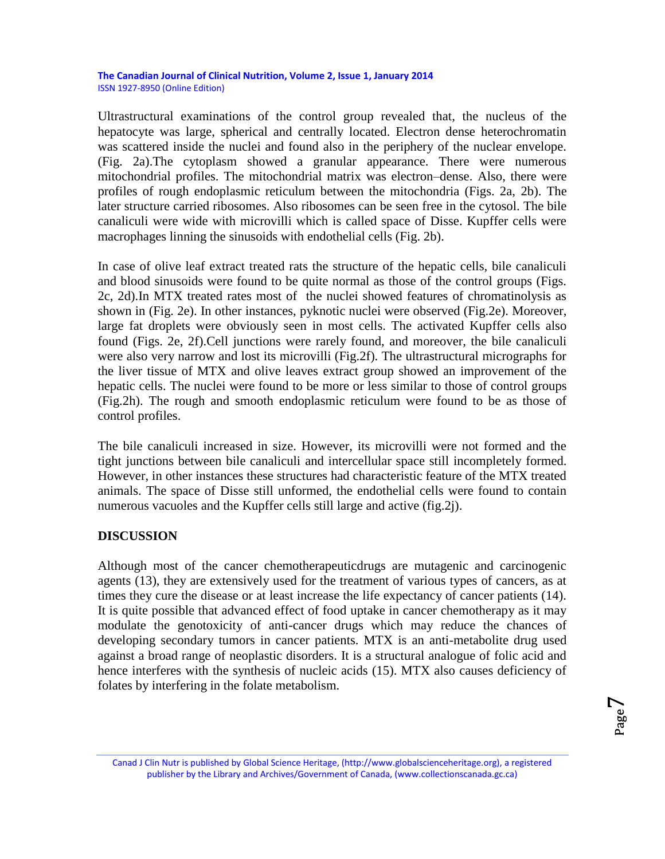Ultrastructural examinations of the control group revealed that, the nucleus of the hepatocyte was large, spherical and centrally located. Electron dense heterochromatin was scattered inside the nuclei and found also in the periphery of the nuclear envelope. (Fig. 2a).The cytoplasm showed a granular appearance. There were numerous mitochondrial profiles. The mitochondrial matrix was electron–dense. Also, there were profiles of rough endoplasmic reticulum between the mitochondria (Figs. 2a, 2b). The later structure carried ribosomes. Also ribosomes can be seen free in the cytosol. The bile canaliculi were wide with microvilli which is called space of Disse. Kupffer cells were macrophages linning the sinusoids with endothelial cells (Fig. 2b).

In case of olive leaf extract treated rats the structure of the hepatic cells, bile canaliculi and blood sinusoids were found to be quite normal as those of the control groups (Figs. 2c, 2d).In MTX treated rates most of the nuclei showed features of chromatinolysis as shown in (Fig. 2e). In other instances, pyknotic nuclei were observed (Fig.2e). Moreover, large fat droplets were obviously seen in most cells. The activated Kupffer cells also found (Figs. 2e, 2f).Cell junctions were rarely found, and moreover, the bile canaliculi were also very narrow and lost its microvilli (Fig.2f). The ultrastructural micrographs for the liver tissue of MTX and olive leaves extract group showed an improvement of the hepatic cells. The nuclei were found to be more or less similar to those of control groups (Fig.2h). The rough and smooth endoplasmic reticulum were found to be as those of control profiles.

The bile canaliculi increased in size. However, its microvilli were not formed and the tight junctions between bile canaliculi and intercellular space still incompletely formed. However, in other instances these structures had characteristic feature of the MTX treated animals. The space of Disse still unformed, the endothelial cells were found to contain numerous vacuoles and the Kupffer cells still large and active (fig.2j).

# **DISCUSSION**

Although most of the cancer chemotherapeuticdrugs are mutagenic and carcinogenic agents (13), they are extensively used for the treatment of various types of cancers, as at times they cure the disease or at least increase the life expectancy of cancer patients (14). It is quite possible that advanced effect of food uptake in cancer chemotherapy as it may modulate the genotoxicity of anti-cancer drugs which may reduce the chances of developing secondary tumors in cancer patients. MTX is an anti-metabolite drug used against a broad range of neoplastic disorders. It is a structural analogue of folic acid and hence interferes with the synthesis of nucleic acids (15). MTX also causes deficiency of folates by interfering in the folate metabolism.

Canad J Clin Nutr is published by Global Science Heritage, (http://www.globalscienceheritage.org), a registered publisher by the Library and Archives/Government of Canada, (www.collectionscanada.gc.ca)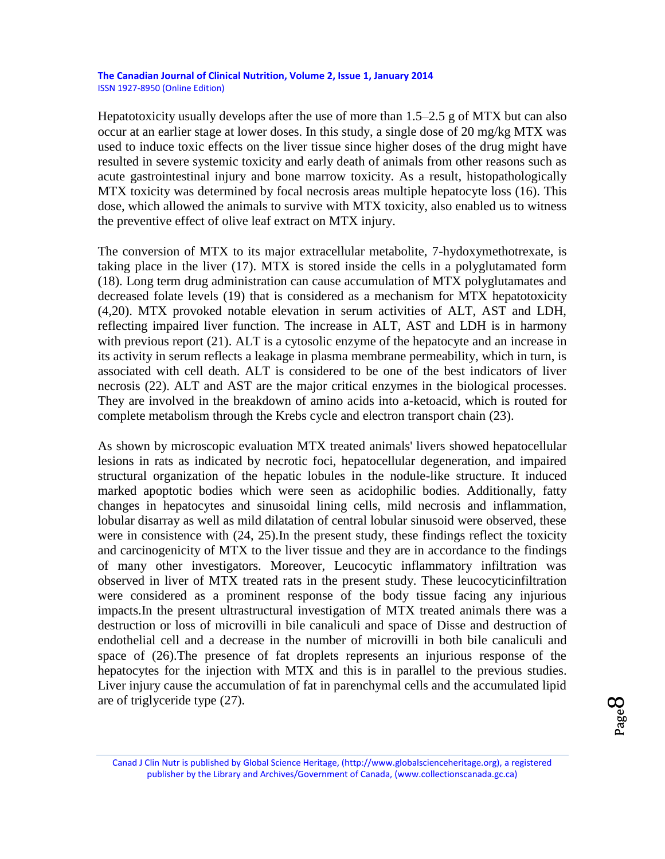Hepatotoxicity usually develops after the use of more than  $1.5-2.5$  g of MTX but can also occur at an earlier stage at lower doses. In this study, a single dose of 20 mg/kg MTX was used to induce toxic effects on the liver tissue since higher doses of the drug might have resulted in severe systemic toxicity and early death of animals from other reasons such as acute gastrointestinal injury and bone marrow toxicity. As a result, histopathologically MTX toxicity was determined by focal necrosis areas multiple hepatocyte loss (16). This dose, which allowed the animals to survive with MTX toxicity, also enabled us to witness the preventive effect of olive leaf extract on MTX injury.

The conversion of MTX to its major extracellular metabolite, 7-hydoxymethotrexate, is taking place in the liver (17). MTX is stored inside the cells in a polyglutamated form (18). Long term drug administration can cause accumulation of MTX polyglutamates and decreased folate levels (19) that is considered as a mechanism for MTX hepatotoxicity (4,20). MTX provoked notable elevation in serum activities of ALT, AST and LDH, reflecting impaired liver function. The increase in ALT, AST and LDH is in harmony with previous report (21). ALT is a cytosolic enzyme of the hepatocyte and an increase in its activity in serum reflects a leakage in plasma membrane permeability, which in turn, is associated with cell death. ALT is considered to be one of the best indicators of liver necrosis (22). ALT and AST are the major critical enzymes in the biological processes. They are involved in the breakdown of amino acids into a-ketoacid, which is routed for complete metabolism through the Krebs cycle and electron transport chain (23).

As shown by microscopic evaluation MTX treated animals' livers showed hepatocellular lesions in rats as indicated by necrotic foci, hepatocellular degeneration, and impaired structural organization of the hepatic lobules in the nodule-like structure. It induced marked apoptotic bodies which were seen as acidophilic bodies. Additionally, fatty changes in hepatocytes and sinusoidal lining cells, mild necrosis and inflammation, lobular disarray as well as mild dilatation of central lobular sinusoid were observed, these were in consistence with (24, 25).In the present study, these findings reflect the toxicity and carcinogenicity of MTX to the liver tissue and they are in accordance to the findings of many other investigators. Moreover, Leucocytic inflammatory infiltration was observed in liver of MTX treated rats in the present study. These leucocyticinfiltration were considered as a prominent response of the body tissue facing any injurious impacts.In the present ultrastructural investigation of MTX treated animals there was a destruction or loss of microvilli in bile canaliculi and space of Disse and destruction of endothelial cell and a decrease in the number of microvilli in both bile canaliculi and space of (26).The presence of fat droplets represents an injurious response of the hepatocytes for the injection with MTX and this is in parallel to the previous studies. Liver injury cause the accumulation of fat in parenchymal cells and the accumulated lipid are of triglyceride type (27).

Page  $\infty$ 

Canad J Clin Nutr is published by Global Science Heritage, (http://www.globalscienceheritage.org), a registered publisher by the Library and Archives/Government of Canada, (www.collectionscanada.gc.ca)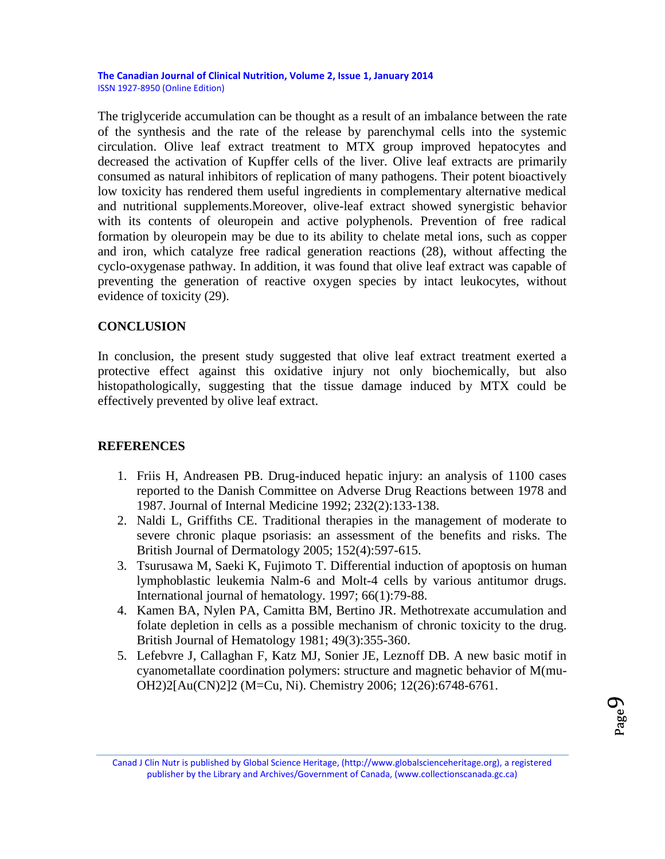The triglyceride accumulation can be thought as a result of an imbalance between the rate of the synthesis and the rate of the release by parenchymal cells into the systemic circulation. Olive leaf extract treatment to MTX group improved hepatocytes and decreased the activation of Kupffer cells of the liver. Olive leaf extracts are primarily consumed as natural inhibitors of replication of many pathogens. Their potent bioactively low toxicity has rendered them useful ingredients in complementary alternative medical and nutritional supplements.Moreover, olive-leaf extract showed synergistic behavior with its contents of oleuropein and active polyphenols. Prevention of free radical formation by oleuropein may be due to its ability to chelate metal ions, such as copper and iron, which catalyze free radical generation reactions (28), without affecting the cyclo-oxygenase pathway. In addition, it was found that olive leaf extract was capable of preventing the generation of reactive oxygen species by intact leukocytes, without evidence of toxicity (29).

# **CONCLUSION**

In conclusion, the present study suggested that olive leaf extract treatment exerted a protective effect against this oxidative injury not only biochemically, but also histopathologically, suggesting that the tissue damage induced by MTX could be effectively prevented by olive leaf extract.

# **REFERENCES**

- 1. Friis H, Andreasen PB. Drug-induced hepatic injury: an analysis of 1100 cases reported to the Danish Committee on Adverse Drug Reactions between 1978 and 1987. Journal of Internal Medicine 1992; 232(2):133-138.
- 2. Naldi L, Griffiths CE. Traditional therapies in the management of moderate to severe chronic plaque psoriasis: an assessment of the benefits and risks. The British Journal of Dermatology 2005; 152(4):597-615.
- 3. Tsurusawa M, Saeki K, Fujimoto T. Differential induction of apoptosis on human lymphoblastic leukemia Nalm-6 and Molt-4 cells by various antitumor drugs. International journal of hematology. 1997; 66(1):79-88.
- 4. Kamen BA, Nylen PA, Camitta BM, Bertino JR. Methotrexate accumulation and folate depletion in cells as a possible mechanism of chronic toxicity to the drug. British Journal of Hematology 1981; 49(3):355-360.
- 5. Lefebvre J, Callaghan F, Katz MJ, Sonier JE, Leznoff DB. A new basic motif in cyanometallate coordination polymers: structure and magnetic behavior of M(mu-OH2)2[Au(CN)2]2 (M=Cu, Ni). Chemistry 2006; 12(26):6748-6761.

Canad J Clin Nutr is published by Global Science Heritage, (http://www.globalscienceheritage.org), a registered publisher by the Library and Archives/Government of Canada, (www.collectionscanada.gc.ca)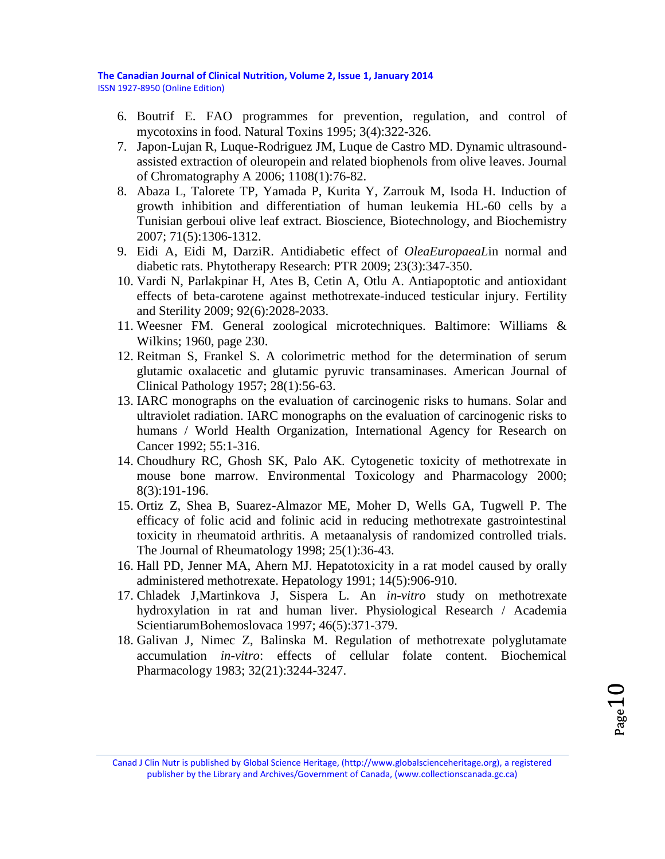- 6. Boutrif E. FAO programmes for prevention, regulation, and control of mycotoxins in food. Natural Toxins 1995; 3(4):322-326.
- 7. Japon-Lujan R, Luque-Rodriguez JM, Luque de Castro MD. Dynamic ultrasoundassisted extraction of oleuropein and related biophenols from olive leaves. Journal of Chromatography A 2006; 1108(1):76-82.
- 8. Abaza L, Talorete TP, Yamada P, Kurita Y, Zarrouk M, Isoda H. Induction of growth inhibition and differentiation of human leukemia HL-60 cells by a Tunisian gerboui olive leaf extract. Bioscience, Biotechnology, and Biochemistry 2007; 71(5):1306-1312.
- 9. Eidi A, Eidi M, DarziR. Antidiabetic effect of *OleaEuropaeaL*in normal and diabetic rats. Phytotherapy Research: PTR 2009; 23(3):347-350.
- 10. Vardi N, Parlakpinar H, Ates B, Cetin A, Otlu A. Antiapoptotic and antioxidant effects of beta-carotene against methotrexate-induced testicular injury. Fertility and Sterility 2009; 92(6):2028-2033.
- 11. Weesner FM. General zoological microtechniques. Baltimore: Williams & Wilkins; 1960, page 230.
- 12. Reitman S, Frankel S. A colorimetric method for the determination of serum glutamic oxalacetic and glutamic pyruvic transaminases. American Journal of Clinical Pathology 1957; 28(1):56-63.
- 13. IARC monographs on the evaluation of carcinogenic risks to humans. Solar and ultraviolet radiation. IARC monographs on the evaluation of carcinogenic risks to humans / World Health Organization, International Agency for Research on Cancer 1992; 55:1-316.
- 14. Choudhury RC, Ghosh SK, Palo AK. Cytogenetic toxicity of methotrexate in mouse bone marrow. Environmental Toxicology and Pharmacology 2000; 8(3):191-196.
- 15. Ortiz Z, Shea B, Suarez-Almazor ME, Moher D, Wells GA, Tugwell P. The efficacy of folic acid and folinic acid in reducing methotrexate gastrointestinal toxicity in rheumatoid arthritis. A metaanalysis of randomized controlled trials. The Journal of Rheumatology 1998; 25(1):36-43.
- 16. Hall PD, Jenner MA, Ahern MJ. Hepatotoxicity in a rat model caused by orally administered methotrexate. Hepatology 1991; 14(5):906-910.
- 17. Chladek J,Martinkova J, Sispera L. An *in-vitro* study on methotrexate hydroxylation in rat and human liver. Physiological Research / Academia ScientiarumBohemoslovaca 1997; 46(5):371-379.
- 18. Galivan J, Nimec Z, Balinska M. Regulation of methotrexate polyglutamate accumulation *in-vitro*: effects of cellular folate content. Biochemical Pharmacology 1983; 32(21):3244-3247.

Canad J Clin Nutr is published by Global Science Heritage, (http://www.globalscienceheritage.org), a registered publisher by the Library and Archives/Government of Canada, (www.collectionscanada.gc.ca)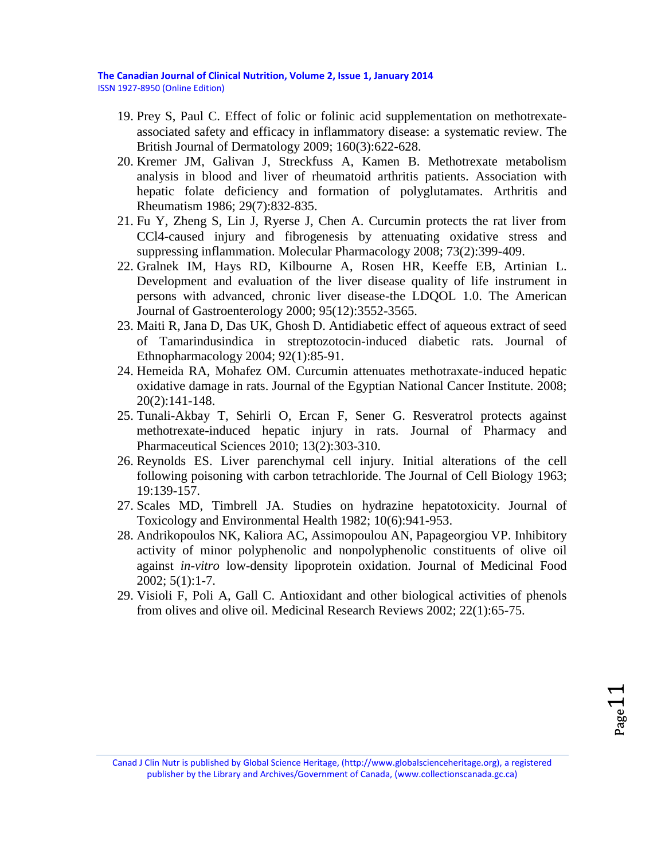**The Canadian Journal of Clinical Nutrition, Volume 2, Issue 1, January 2014**

ISSN 1927-8950 (Online Edition)

- 19. Prey S, Paul C. Effect of folic or folinic acid supplementation on methotrexateassociated safety and efficacy in inflammatory disease: a systematic review. The British Journal of Dermatology 2009; 160(3):622-628.
- 20. Kremer JM, Galivan J, Streckfuss A, Kamen B. Methotrexate metabolism analysis in blood and liver of rheumatoid arthritis patients. Association with hepatic folate deficiency and formation of polyglutamates. Arthritis and Rheumatism 1986; 29(7):832-835.
- 21. Fu Y, Zheng S, Lin J, Ryerse J, Chen A. Curcumin protects the rat liver from CCl4-caused injury and fibrogenesis by attenuating oxidative stress and suppressing inflammation. Molecular Pharmacology 2008; 73(2):399-409.
- 22. Gralnek IM, Hays RD, Kilbourne A, Rosen HR, Keeffe EB, Artinian L. Development and evaluation of the liver disease quality of life instrument in persons with advanced, chronic liver disease-the LDQOL 1.0. The American Journal of Gastroenterology 2000; 95(12):3552-3565.
- 23. Maiti R, Jana D, Das UK, Ghosh D. Antidiabetic effect of aqueous extract of seed of Tamarindusindica in streptozotocin-induced diabetic rats. Journal of Ethnopharmacology 2004; 92(1):85-91.
- 24. Hemeida RA, Mohafez OM. Curcumin attenuates methotraxate-induced hepatic oxidative damage in rats. Journal of the Egyptian National Cancer Institute. 2008; 20(2):141-148.
- 25. Tunali-Akbay T, Sehirli O, Ercan F, Sener G. Resveratrol protects against methotrexate-induced hepatic injury in rats. Journal of Pharmacy and Pharmaceutical Sciences 2010; 13(2):303-310.
- 26. Reynolds ES. Liver parenchymal cell injury. Initial alterations of the cell following poisoning with carbon tetrachloride. The Journal of Cell Biology 1963; 19:139-157.
- 27. Scales MD, Timbrell JA. Studies on hydrazine hepatotoxicity. Journal of Toxicology and Environmental Health 1982; 10(6):941-953.
- 28. Andrikopoulos NK, Kaliora AC, Assimopoulou AN, Papageorgiou VP. Inhibitory activity of minor polyphenolic and nonpolyphenolic constituents of olive oil against *in-vitro* low-density lipoprotein oxidation. Journal of Medicinal Food 2002; 5(1):1-7.
- 29. Visioli F, Poli A, Gall C. Antioxidant and other biological activities of phenols from olives and olive oil. Medicinal Research Reviews 2002; 22(1):65-75.

Canad J Clin Nutr is published by Global Science Heritage, (http://www.globalscienceheritage.org), a registered publisher by the Library and Archives/Government of Canada, (www.collectionscanada.gc.ca)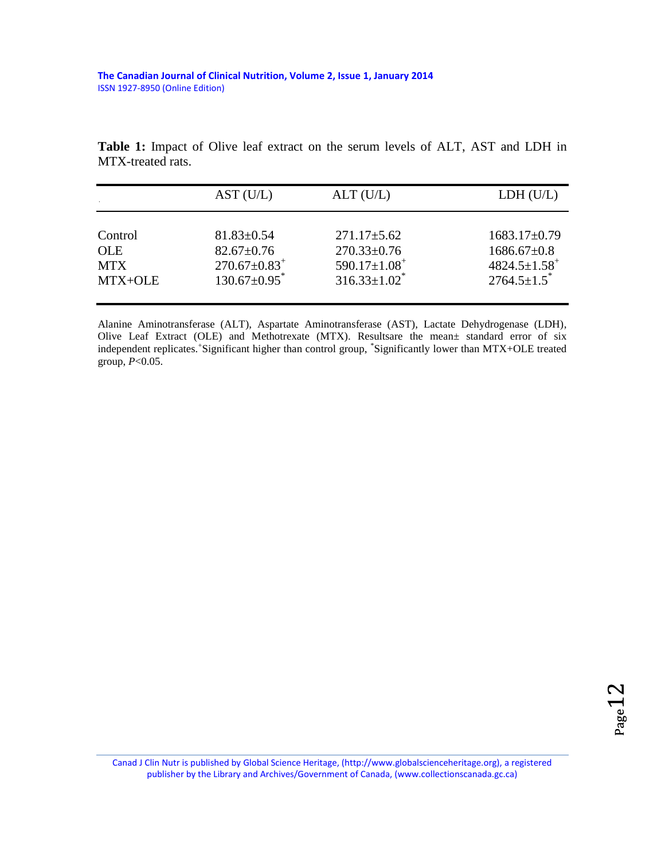**Table 1:** Impact of Olive leaf extract on the serum levels of ALT, AST and LDH in MTX-treated rats.

|            | AST (U/L)                      | ALT(U/L)                       | LDH (U/L)                      |
|------------|--------------------------------|--------------------------------|--------------------------------|
| Control    | $81.83 \pm 0.54$               | $271.17 \pm 5.62$              | $1683.17\pm0.79$               |
| <b>OLE</b> | $82.67 \pm 0.76$               | $270.33 \pm 0.76$              | $1686.67\pm0.8$                |
| <b>MTX</b> | $270.67 \pm 0.83$ <sup>+</sup> | $590.17 \pm 1.08$ <sup>+</sup> | $4824.5 \pm 1.58$ <sup>+</sup> |
| MTX+OLE    | $130.67 \pm 0.95$ <sup>*</sup> | $316.33 \pm 1.02$ <sup>*</sup> | $2764.5 \pm 1.5$ <sup>*</sup>  |

Alanine Aminotransferase (ALT), Aspartate Aminotransferase (AST), Lactate Dehydrogenase (LDH), Olive Leaf Extract (OLE) and Methotrexate (MTX). Resultsare the mean± standard error of six independent replicates. Significant higher than control group, \*Significantly lower than MTX+OLE treated group, *P*<0.05.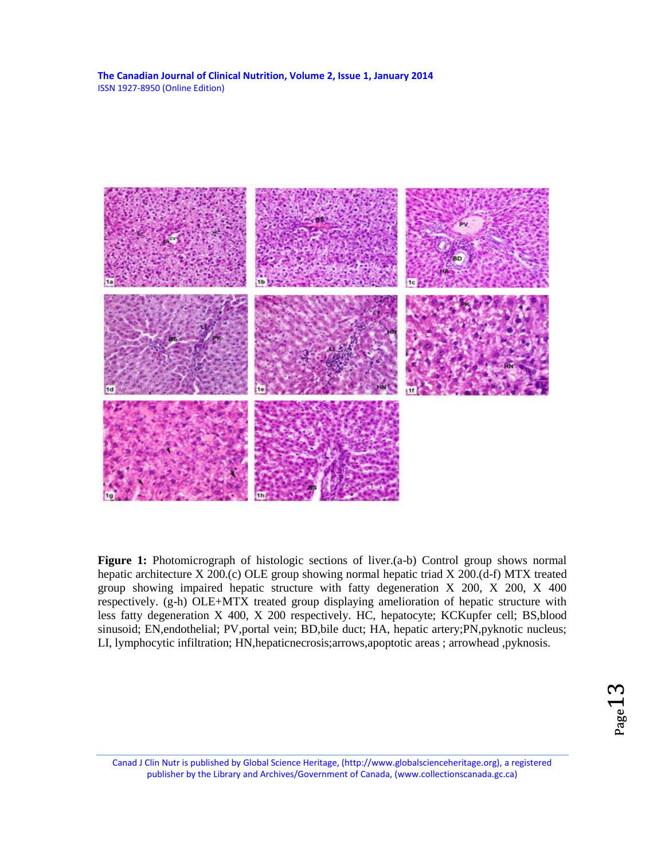

Figure 1: Photomicrograph of histologic sections of liver.(a-b) Control group shows normal hepatic architecture X 200.(c) OLE group showing normal hepatic triad X 200.(d-f) MTX treated group showing impaired hepatic structure with fatty degeneration X 200, X 200, X 400 respectively. (g-h) OLE+MTX treated group displaying amelioration of hepatic structure with less fatty degeneration X 400, X 200 respectively. HC, hepatocyte; KCKupfer cell; BS,blood sinusoid; EN,endothelial; PV,portal vein; BD,bile duct; HA, hepatic artery; PN,pyknotic nucleus; LI, lymphocytic infiltration; HN,hepaticnecrosis;arrows,apoptotic areas ; arrowhead ,pyknosis.

Canad J Clin Nutr is published by Global Science Heritage, (http://www.globalscienceheritage.org), a registered publisher by the Library and Archives/Government of Canada, (www.collectionscanada.gc.ca)